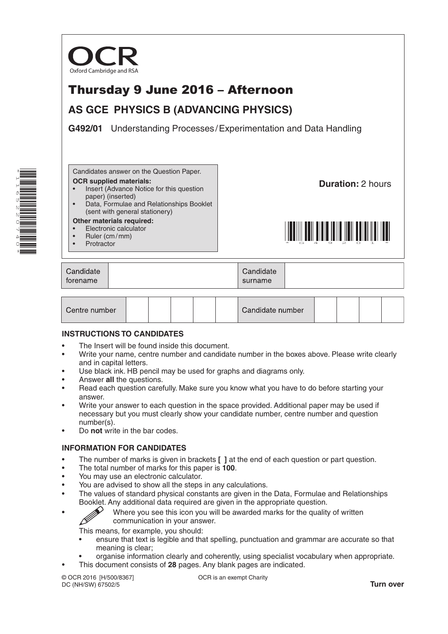

# Thursday 9 June 2016 – Afternoon

# **AS GCE PHYSICS B (ADVANCING PHYSICS)**

**G492/01** Understanding Processes /Experimentation and Data Handling



Candidates answer on the Question Paper.

- **OCR supplied materials:**
- Insert (Advance Notice for this question paper) (inserted)
- Data, Formulae and Relationships Booklet (sent with general stationery)

#### **Other materials required:**

- Electronic calculator
- Ruler (cm/mm)
- **Protractor**

**Duration:** 2 hours



| Candidate | Candidate |
|-----------|-----------|
| forename  | surname   |

| Centre number |  |  |  |  |  | Candidate number |  |  |  |  |  |
|---------------|--|--|--|--|--|------------------|--|--|--|--|--|
|---------------|--|--|--|--|--|------------------|--|--|--|--|--|

### **INSTRUCTIONS TO CANDIDATES**

- The Insert will be found inside this document.
- Write your name, centre number and candidate number in the boxes above. Please write clearly and in capital letters.
- Use black ink. HB pencil may be used for graphs and diagrams only.
- Answer **all** the questions.
- Read each question carefully. Make sure you know what you have to do before starting your answer.
- Write your answer to each question in the space provided. Additional paper may be used if necessary but you must clearly show your candidate number, centre number and question number(s).
- Do **not** write in the bar codes.

### **INFORMATION FOR CANDIDATES**

- The number of marks is given in brackets **[ ]** at the end of each question or part question.
- The total number of marks for this paper is **100**.
- You may use an electronic calculator.
- You are advised to show all the steps in any calculations.
- The values of standard physical constants are given in the Data, Formulae and Relationships Booklet. Any additional data required are given in the appropriate question.
	-
- Where you see this icon you will be awarded marks for the quality of written communication in your answer. communication in your answer.

This means, for example, you should:

- ensure that text is legible and that spelling, punctuation and grammar are accurate so that meaning is clear;
- organise information clearly and coherently, using specialist vocabulary when appropriate.
	- This document consists of **28** pages. Any blank pages are indicated.

© OCR 2016 [H/500/8367] DC (NH/SW) 67502/5

OCR is an exempt Charity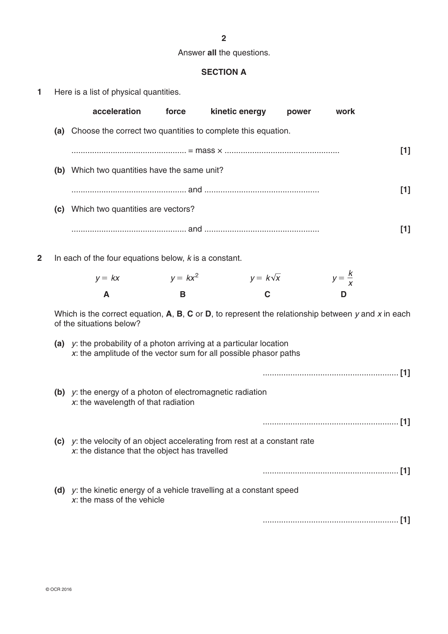# **2**

# Answer **all** the questions.

# **SECTION A**

| 1 |  |  |  |  |  |  |  | Here is a list of physical quantities. |
|---|--|--|--|--|--|--|--|----------------------------------------|
|---|--|--|--|--|--|--|--|----------------------------------------|

|   | acceleration                                                                                                                                | force      | kinetic energy  | power | work              |       |
|---|---------------------------------------------------------------------------------------------------------------------------------------------|------------|-----------------|-------|-------------------|-------|
|   | (a) Choose the correct two quantities to complete this equation.                                                                            |            |                 |       |                   |       |
|   |                                                                                                                                             |            |                 |       |                   | $[1]$ |
|   | (b) Which two quantities have the same unit?                                                                                                |            |                 |       |                   |       |
|   |                                                                                                                                             |            |                 |       |                   | $[1]$ |
|   | (c) Which two quantities are vectors?                                                                                                       |            |                 |       |                   |       |
|   |                                                                                                                                             |            |                 |       |                   | $[1]$ |
| 2 | In each of the four equations below, $k$ is a constant.                                                                                     |            |                 |       |                   |       |
|   | $y = kx$                                                                                                                                    | $y = kx^2$ | $y = k\sqrt{x}$ |       | $y = \frac{K}{x}$ |       |
|   | A                                                                                                                                           | B          | C               |       | D                 |       |
|   | Which is the correct equation, $A$ , $B$ , $C$ or $D$ , to represent the relationship between y and x in each<br>of the situations below?   |            |                 |       |                   |       |
|   | (a) $y$ : the probability of a photon arriving at a particular location<br>x: the amplitude of the vector sum for all possible phasor paths |            |                 |       |                   |       |
|   |                                                                                                                                             |            |                 |       |                   |       |
|   | (b) $y$ : the energy of a photon of electromagnetic radiation<br>$x$ : the wavelength of that radiation                                     |            |                 |       |                   |       |
|   |                                                                                                                                             |            |                 |       |                   |       |
|   | (c) $y$ : the velocity of an object accelerating from rest at a constant rate<br>$x$ : the distance that the object has travelled           |            |                 |       |                   |       |
|   |                                                                                                                                             |            |                 |       |                   |       |
|   | (d) $y$ : the kinetic energy of a vehicle travelling at a constant speed<br>$x$ : the mass of the vehicle                                   |            |                 |       |                   |       |
|   |                                                                                                                                             |            |                 |       |                   |       |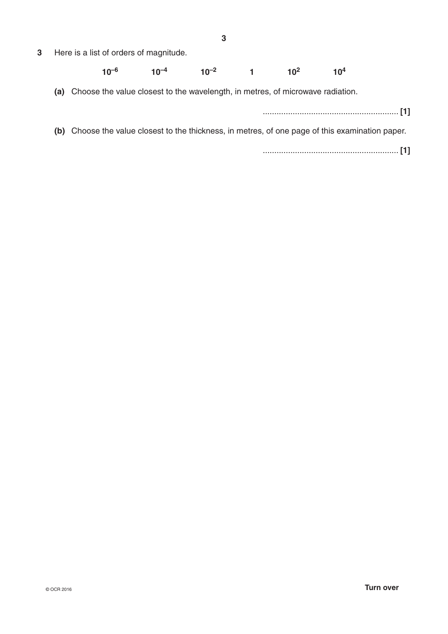**3** Here is a list of orders of magnitude.

#### **10–6 10–4 10–2 1 102 104**

**(a)** Choose the value closest to the wavelength, in metres, of microwave radiation.

........................................................... **[1]**

**(b)** Choose the value closest to the thickness, in metres, of one page of this examination paper.

........................................................... **[1]**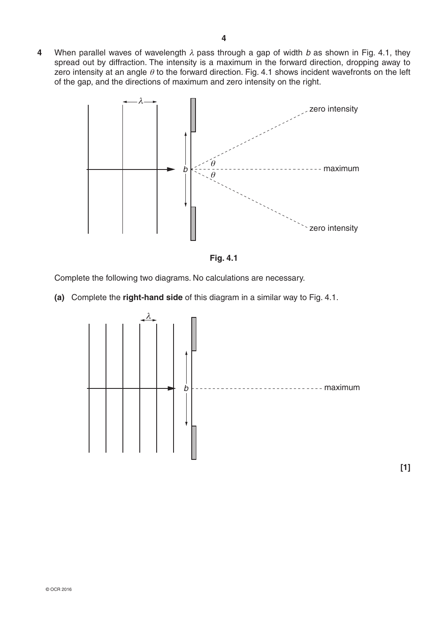**4** When parallel waves of wavelength  $\lambda$  pass through a gap of width *b* as shown in Fig. 4.1, they spread out by diffraction. The intensity is a maximum in the forward direction, dropping away to zero intensity at an angle  $\theta$  to the forward direction. Fig. 4.1 shows incident wavefronts on the left of the gap, and the directions of maximum and zero intensity on the right.





Complete the following two diagrams. No calculations are necessary.

**(a)** Complete the **right-hand side** of this diagram in a similar way to Fig. 4.1.

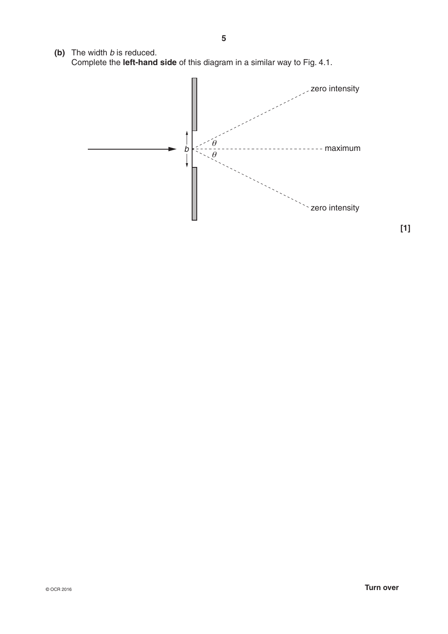**(b)** The width *b* is reduced. Complete the **left-hand side** of this diagram in a similar way to Fig. 4.1.



**[1]**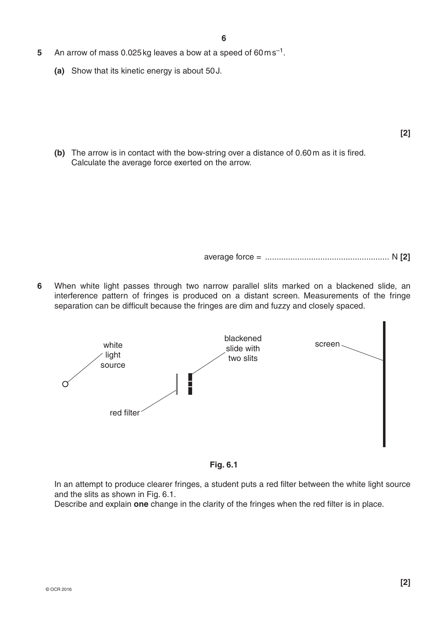- **5** An arrow of mass 0.025kg leaves a bow at a speed of 60ms–1.
	- **(a)** Show that its kinetic energy is about 50J.

**(b)** The arrow is in contact with the bow-string over a distance of 0.60m as it is fired. Calculate the average force exerted on the arrow.

average force = ...................................................... N **[2]**

**6** When white light passes through two narrow parallel slits marked on a blackened slide, an interference pattern of fringes is produced on a distant screen. Measurements of the fringe separation can be difficult because the fringes are dim and fuzzy and closely spaced.





In an attempt to produce clearer fringes, a student puts a red filter between the white light source and the slits as shown in Fig. 6.1.

Describe and explain **one** change in the clarity of the fringes when the red filter is in place.

**[2]**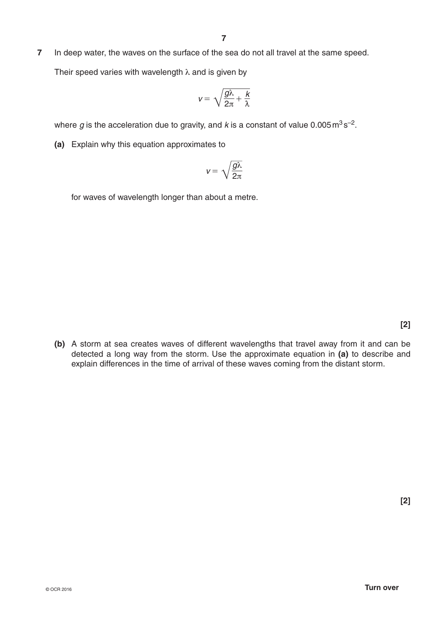**7** In deep water, the waves on the surface of the sea do not all travel at the same speed.

Their speed varies with wavelength  $\lambda$  and is given by

$$
v=\sqrt{\frac{g\lambda}{2\pi}+\frac{k}{\lambda}}
$$

where  $g$  is the acceleration due to gravity, and  $k$  is a constant of value  $0.005 \text{ m}^3 \text{s}^{-2}$ .

**(a)** Explain why this equation approximates to

$$
v=\sqrt{\frac{g\lambda}{2\pi}}
$$

for waves of wavelength longer than about a metre.

**(b)** A storm at sea creates waves of different wavelengths that travel away from it and can be detected a long way from the storm. Use the approximate equation in **(a)** to describe and explain differences in the time of arrival of these waves coming from the distant storm.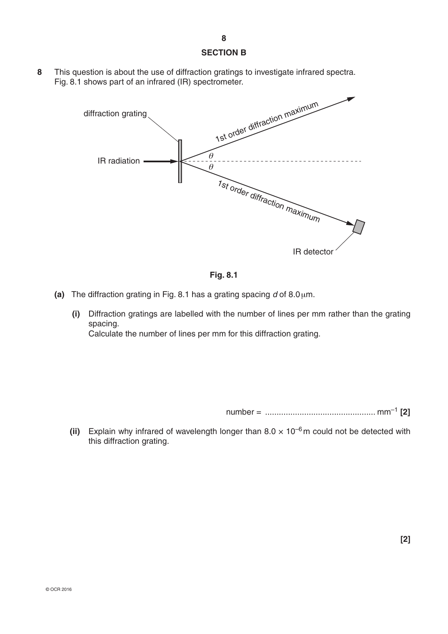#### **SECTION B**

**8** This question is about the use of diffraction gratings to investigate infrared spectra. Fig. 8.1 shows part of an infrared (IR) spectrometer.





- **(a)** The diffraction grating in Fig. 8.1 has a grating spacing  $d$  of 8.0  $\mu$ m.
	- **(i)** Diffraction gratings are labelled with the number of lines per mm rather than the grating spacing. Calculate the number of lines per mm for this diffraction grating.

number = ................................................ mm–1 **[2]**

**(ii)** Explain why infrared of wavelength longer than  $8.0 \times 10^{-6}$  m could not be detected with this diffraction grating.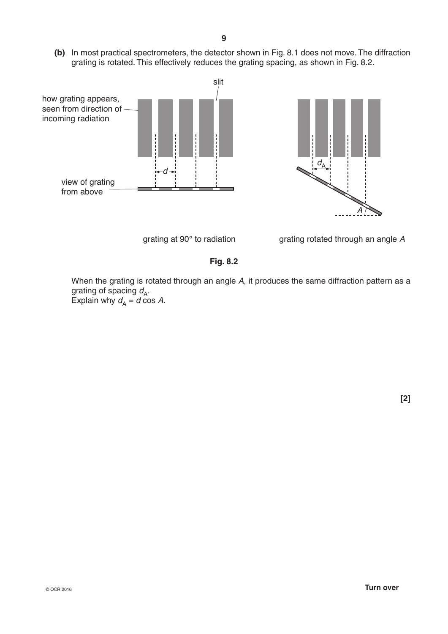**(b)** In most practical spectrometers, the detector shown in Fig. 8.1 does not move. The diffraction grating is rotated. This effectively reduces the grating spacing, as shown in Fig. 8.2.









# **Fig. 8.2**

 When the grating is rotated through an angle *A*, it produces the same diffraction pattern as a grating of spacing  $d_{\mathsf{A}}$ . Explain why  $d_{\mathsf{A}} = d \cos A$ .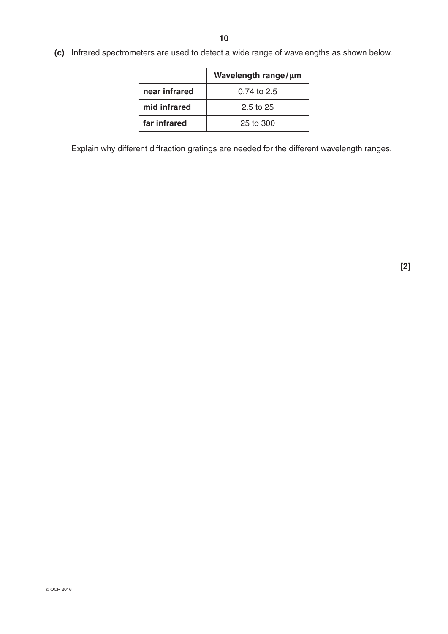**(c)** Infrared spectrometers are used to detect a wide range of wavelengths as shown below.

|               | Wavelength range/µm  |
|---------------|----------------------|
| near infrared | 0.74 to 2.5          |
| mid infrared  | $2.5 \text{ to } 25$ |
| far infrared  | 25 to 300            |

Explain why different diffraction gratings are needed for the different wavelength ranges.

**[2]**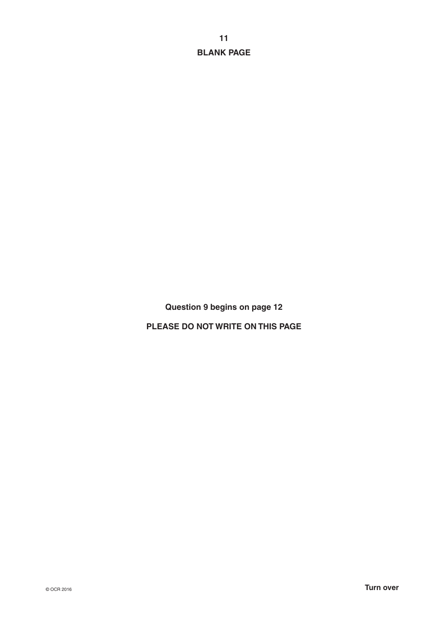**11 BLANK PAGE**

**Question 9 begins on page 12**

**PLEASE DO NOT WRITE ON THIS PAGE**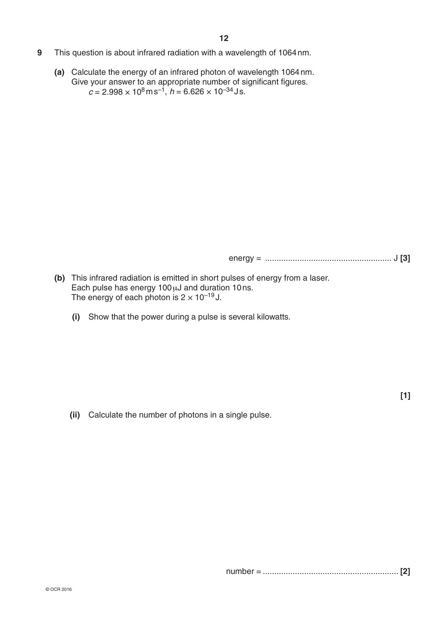- **9** This question is about infrared radiation with a wavelength of 1064nm.
	- **(a)** Calculate the energy of an infrared photon of wavelength 1064nm. Give your answer to an appropriate number of significant figures.  $c = 2.998 \times 10^8 \text{ m s}^{-1}$ ,  $h = 6.626 \times 10^{-34} \text{ J s}$ .

energy = ....................................................... J **[3]**

- **(b)** This infrared radiation is emitted in short pulses of energy from a laser. Each pulse has energy 100 µJ and duration 10ns. The energy of each photon is  $2 \times 10^{-19}$  J.
	- **(i)** Show that the power during a pulse is several kilowatts.

 **(ii)** Calculate the number of photons in a single pulse.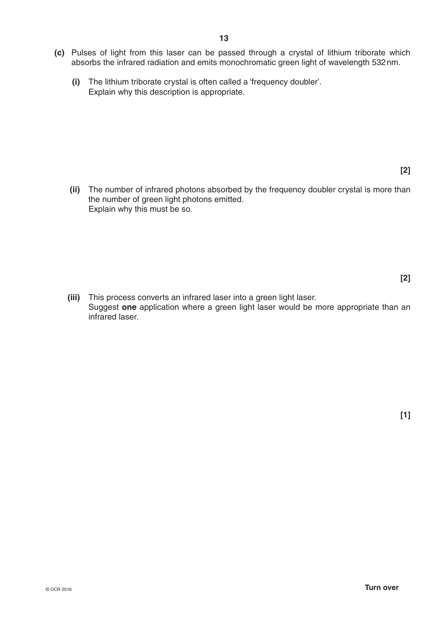- **(c)** Pulses of light from this laser can be passed through a crystal of lithium triborate which absorbs the infrared radiation and emits monochromatic green light of wavelength 532nm.
	- **(i)** The lithium triborate crystal is often called a 'frequency doubler'. Explain why this description is appropriate.

**[2]**

 **(ii)** The number of infrared photons absorbed by the frequency doubler crystal is more than the number of green light photons emitted. Explain why this must be so.

 **[2]**

 **(iii)** This process converts an infrared laser into a green light laser. Suggest **one** application where a green light laser would be more appropriate than an infrared laser.

**[1]**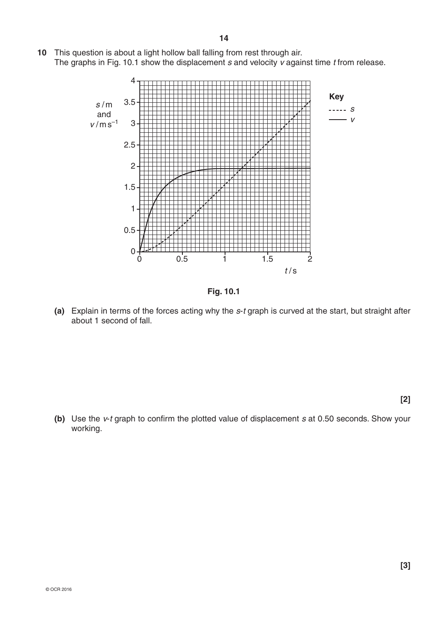**10** This question is about a light hollow ball falling from rest through air. The graphs in Fig. 10.1 show the displacement *s* and velocity *v* against time *t* from release.



**Fig. 10.1**

**(a)** Explain in terms of the forces acting why the *s*-*t* graph is curved at the start, but straight after about 1 second of fall.

**[2]**

**(b)** Use the *v*-*t* graph to confirm the plotted value of displacement *s* at 0.50 seconds. Show your working.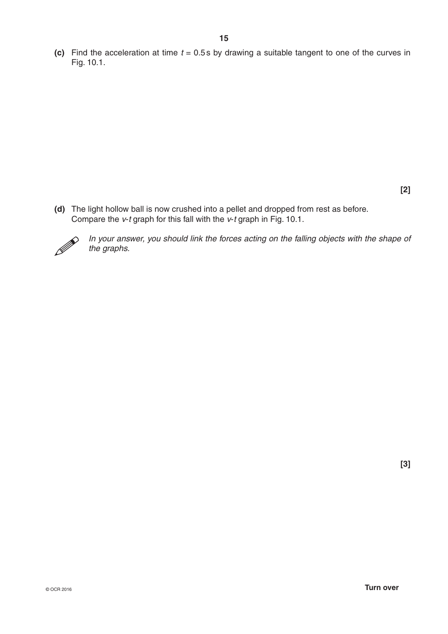**(c)** Find the acceleration at time *t* = 0.5s by drawing a suitable tangent to one of the curves in Fig. 10.1.

**[2]**

**(d)** The light hollow ball is now crushed into a pellet and dropped from rest as before. Compare the *v*-*t* graph for this fall with the *v*-*t* graph in Fig. 10.1.



*In your answer, you should link the forces acting on the falling objects with the shape of the graphs.*

**[3]**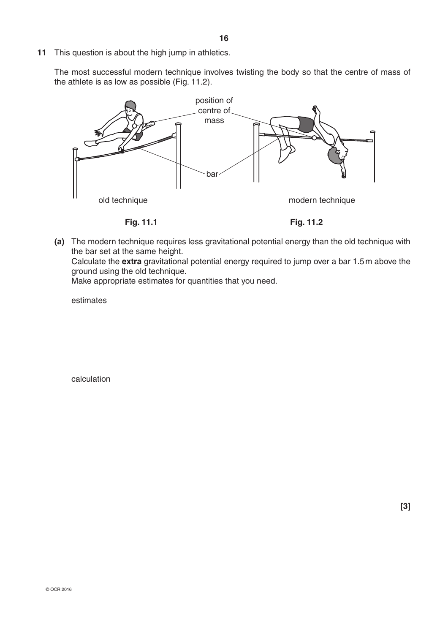**11** This question is about the high jump in athletics.

The most successful modern technique involves twisting the body so that the centre of mass of the athlete is as low as possible (Fig. 11.2).



**(a)** The modern technique requires less gravitational potential energy than the old technique with the bar set at the same height. Calculate the **extra** gravitational potential energy required to jump over a bar 1.5m above the ground using the old technique.

Make appropriate estimates for quantities that you need.

estimates

calculation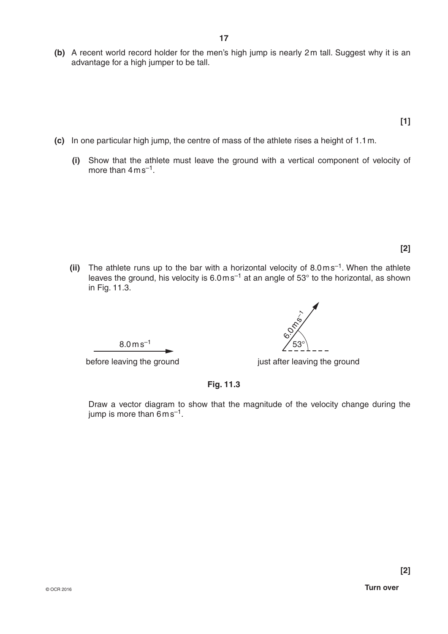- **(b)** A recent world record holder for the men's high jump is nearly 2m tall. Suggest why it is an advantage for a high jumper to be tall.
	- **[1]**
- **(c)** In one particular high jump, the centre of mass of the athlete rises a height of 1.1m.
	- **(i)** Show that the athlete must leave the ground with a vertical component of velocity of more than  $4 \text{ ms}^{-1}$ .

**[2]**

(ii) The athlete runs up to the bar with a horizontal velocity of 8.0ms<sup>-1</sup>. When the athlete leaves the ground, his velocity is  $6.0 \text{ m s}^{-1}$  at an angle of 53 $^{\circ}$  to the horizontal, as shown in Fig. 11.3.

 $8.0 \,\mathrm{m}\,\mathrm{s}^{-1}$ 

before leaving the ground before leaving the ground

**Fig. 11.3**

Draw a vector diagram to show that the magnitude of the velocity change during the jump is more than  $6 \text{ m s}^{-1}$ .

53° 6.0 m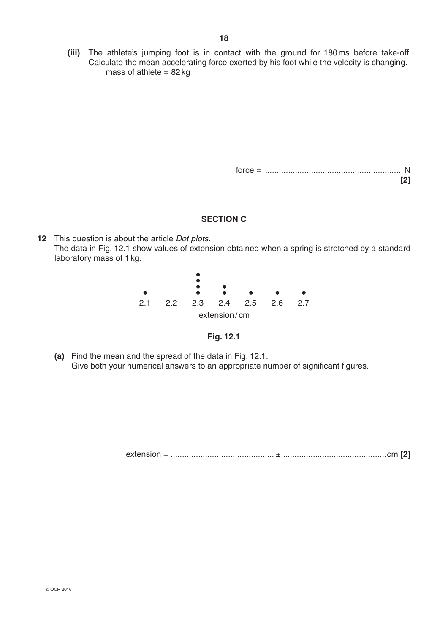**(iii)** The athlete's jumping foot is in contact with the ground for 180ms before take-off. Calculate the mean accelerating force exerted by his foot while the velocity is changing.  $mass of athlete = 82kg$ 

> force = ............................................................ N **[2]**

## **SECTION C**

**12** This question is about the article *Dot plots*. The data in Fig. 12.1 show values of extension obtained when a spring is stretched by a standard laboratory mass of 1kg.





**(a)** Find the mean and the spread of the data in Fig. 12.1. Give both your numerical answers to an appropriate number of significant figures.

extension = ............................................. ± .............................................cm **[2]**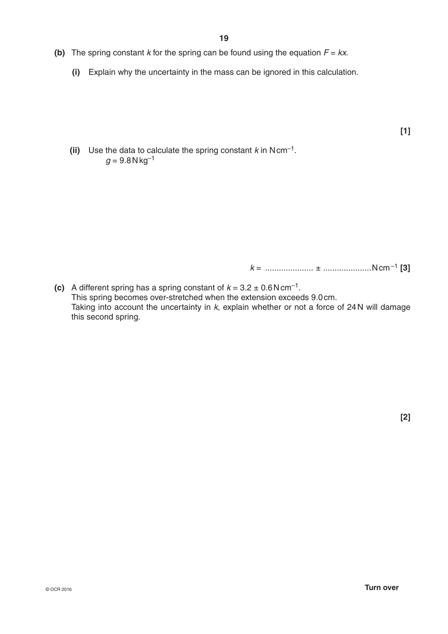- **(b)** The spring constant *k* for the spring can be found using the equation  $F = kx$ .
	- **(i)** Explain why the uncertainty in the mass can be ignored in this calculation.

**[1]**

**(ii)** Use the data to calculate the spring constant  $k$  in Ncm<sup>-1</sup>.  $q = 9.8$  N kg<sup>-1</sup>

*k* = ..................... ± .....................Ncm–1 **[3]**

**(c)** A different spring has a spring constant of  $k = 3.2 \pm 0.6 \text{ N cm}^{-1}$ . This spring becomes over-stretched when the extension exceeds 9.0cm. Taking into account the uncertainty in *k*, explain whether or not a force of 24N will damage this second spring.

**[2]**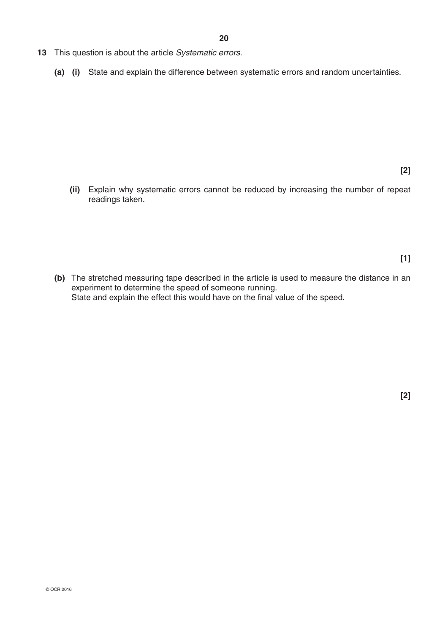- **13** This question is about the article *Systematic errors*.
	- **(a) (i)** State and explain the difference between systematic errors and random uncertainties.

**[2]**

 **(ii)** Explain why systematic errors cannot be reduced by increasing the number of repeat readings taken.

**[1]**

**(b)** The stretched measuring tape described in the article is used to measure the distance in an experiment to determine the speed of someone running. State and explain the effect this would have on the final value of the speed.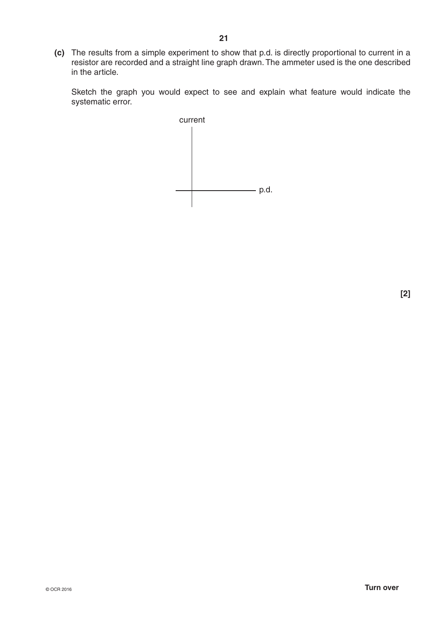**(c)** The results from a simple experiment to show that p.d. is directly proportional to current in a resistor are recorded and a straight line graph drawn. The ammeter used is the one described in the article.

Sketch the graph you would expect to see and explain what feature would indicate the systematic error.

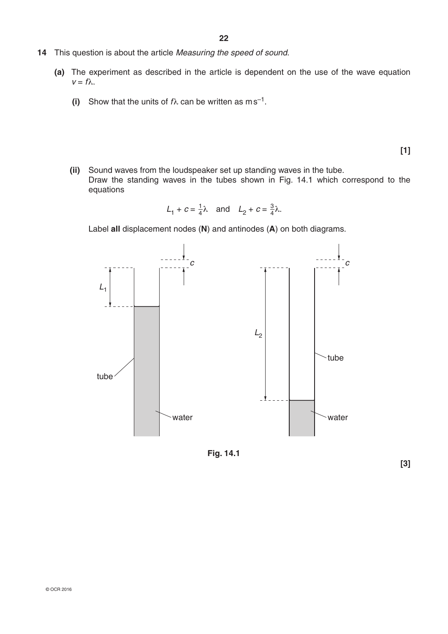- **14** This question is about the article *Measuring the speed of sound*.
	- **(a)** The experiment as described in the article is dependent on the use of the wave equation  $v = f\lambda$ .
		- **(i)** Show that the units of  $f\lambda$  can be written as ms<sup>-1</sup>.

**[1]**

 **(ii)** Sound waves from the loudspeaker set up standing waves in the tube. Draw the standing waves in the tubes shown in Fig. 14.1 which correspond to the equations

$$
L_1 + c = \frac{1}{4}\lambda \quad \text{and} \quad L_2 + c = \frac{3}{4}\lambda.
$$

Label **all** displacement nodes (**N**) and antinodes (**A**) on both diagrams.



**Fig. 14.1**

**[3]**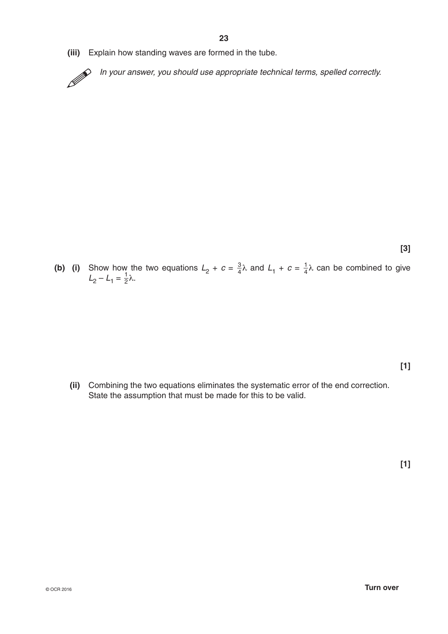**(iii)** Explain how standing waves are formed in the tube.

In your answer, you should use appropriate technical terms, spelled correctly.

**[3]**

**(b)** (i) Show how the two equations  $L_2 + c = \frac{3}{4}\lambda$  and  $L_1 + c = \frac{1}{4}\lambda$  can be combined to give  $L_2 - L_1 = \frac{1}{2}\lambda$ .

 **(ii)** Combining the two equations eliminates the systematic error of the end correction. State the assumption that must be made for this to be valid.

**[1]**

**[1]**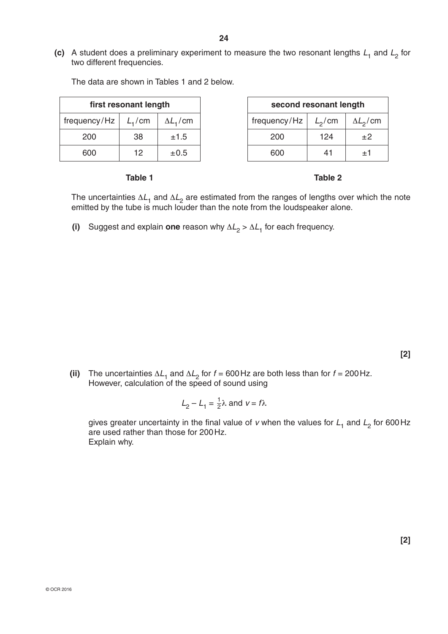**(c)** A student does a preliminary experiment to measure the two resonant lengths  $L_1$  and  $L_2$  for two different frequencies.

|                             | first resonant length |                   |
|-----------------------------|-----------------------|-------------------|
|                             |                       |                   |
| frequency/Hz $\mid L_1$ /cm |                       | $\Delta L_{1}/cm$ |
| 200                         | 38                    | ±1.5              |
| 600                         | 12                    | ±0.5              |

| first resonant length |                    |                   | second resonant length |           |                  |
|-----------------------|--------------------|-------------------|------------------------|-----------|------------------|
| ency/Hz               | L <sub>1</sub> /cm | $\Delta L_{1}/cm$ | frequency/ $Hz$        | $L_2$ /cm | $\Delta L_2$ /cm |
| 200                   | 38                 | ±1.5              | 200                    | 124       | $+2$             |
| 600                   | 12                 | ±0.5              | 600                    | 41        | $^{\pm1}$        |

The data are shown in Tables 1 and 2 below.

#### **Table 1** Table 2

The uncertainties  $\Delta L_1$  and  $\Delta L_2$  are estimated from the ranges of lengths over which the note emitted by the tube is much louder than the note from the loudspeaker alone.

**(i)** Suggest and explain one reason why  $\Delta L_2 > \Delta L_1$  for each frequency.

**[2]**

**(ii)** The uncertainties  $\Delta L_1$  and  $\Delta L_2$  for  $f = 600$  Hz are both less than for  $f = 200$  Hz. However, calculation of the speed of sound using

$$
L_2 - L_1 = \frac{1}{2}\lambda \text{ and } v = f\lambda
$$

gives greater uncertainty in the final value of *v* when the values for  $L_1$  and  $L_2$  for 600Hz are used rather than those for 200Hz. Explain why.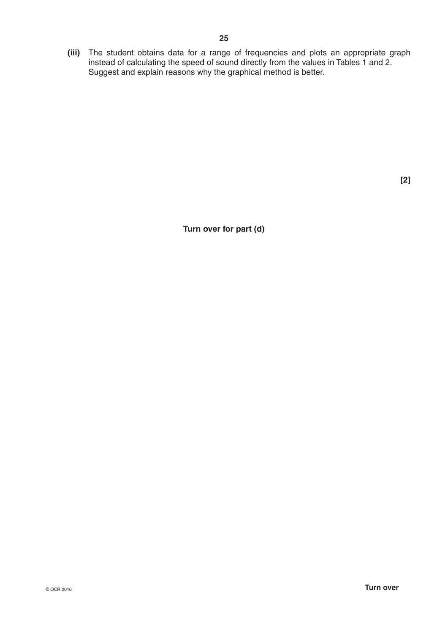**(iii)** The student obtains data for a range of frequencies and plots an appropriate graph instead of calculating the speed of sound directly from the values in Tables 1 and 2. Suggest and explain reasons why the graphical method is better.

**[2]**

**Turn over for part (d)**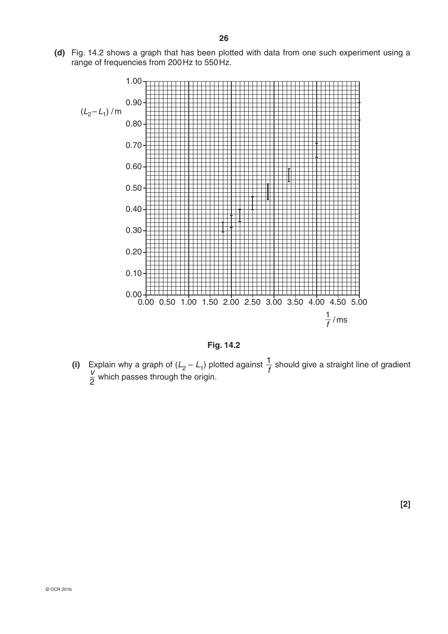**(d)** Fig. 14.2 shows a graph that has been plotted with data from one such experiment using a range of frequencies from 200Hz to 550Hz.



**Fig. 14.2**

(i) Explain why a graph of  $(L_2 - L_1)$  plotted against  $\frac{1}{f}$  should give a straight line of gradient  $\frac{v}{2}$  which passes through the origin.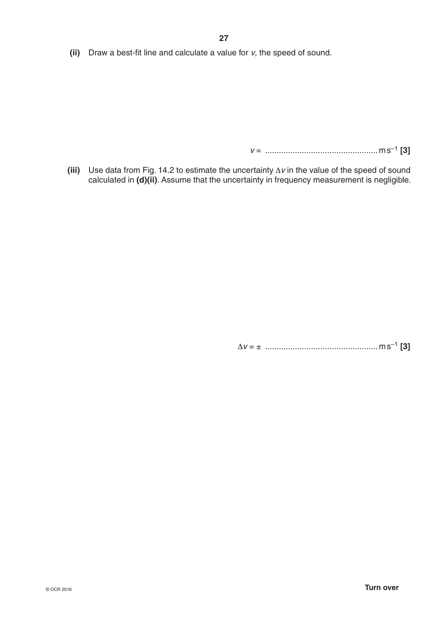**(ii)** Draw a best-fit line and calculate a value for *v*, the speed of sound.

*v* = .................................................ms–1 **[3]**

**(iii)** Use data from Fig. 14.2 to estimate the uncertainty  $\Delta v$  in the value of the speed of sound calculated in **(d)(ii)**. Assume that the uncertainty in frequency measurement is negligible.

D*v* = ± .................................................ms–1 **[3]**